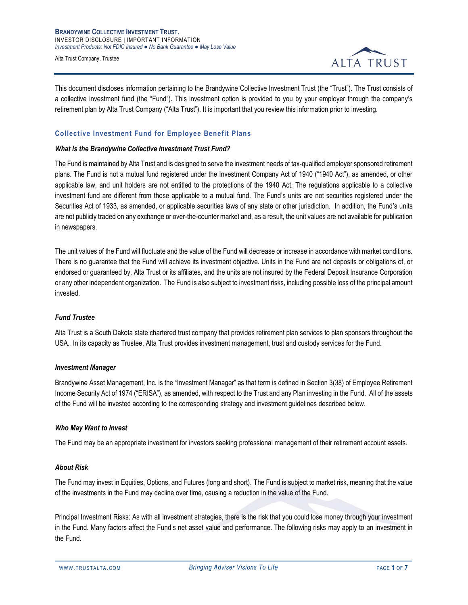**BRANDYWINE COLLECTIVE INVESTMENT TRUST.** INVESTOR DISCLOSURE | IMPORTANT INFORMATION *Investment Products: Not FDIC Insured ● No Bank Guarantee ● May Lose Value*

Alta Trust Company, Trustee



This document discloses information pertaining to the Brandywine Collective Investment Trust (the "Trust"). The Trust consists of a collective investment fund (the "Fund"). This investment option is provided to you by your employer through the company's retirement plan by Alta Trust Company ("Alta Trust"). It is important that you review this information prior to investing.

# **Collective Investment Fund for Employee Benefit Plans**

## *What is the Brandywine Collective Investment Trust Fund?*

The Fund is maintained by Alta Trust and is designed to serve the investment needs of tax-qualified employer sponsored retirement plans. The Fund is not a mutual fund registered under the Investment Company Act of 1940 ("1940 Act"), as amended, or other applicable law, and unit holders are not entitled to the protections of the 1940 Act. The regulations applicable to a collective investment fund are different from those applicable to a mutual fund. The Fund's units are not securities registered under the Securities Act of 1933, as amended, or applicable securities laws of any state or other jurisdiction. In addition, the Fund's units are not publicly traded on any exchange or over-the-counter market and, as a result, the unit values are not available for publication in newspapers.

The unit values of the Fund will fluctuate and the value of the Fund will decrease or increase in accordance with market conditions. There is no guarantee that the Fund will achieve its investment objective. Units in the Fund are not deposits or obligations of, or endorsed or guaranteed by, Alta Trust or its affiliates, and the units are not insured by the Federal Deposit Insurance Corporation or any other independent organization. The Fund is also subject to investment risks, including possible loss of the principal amount invested.

#### *Fund Trustee*

Alta Trust is a South Dakota state chartered trust company that provides retirement plan services to plan sponsors throughout the USA. In its capacity as Trustee, Alta Trust provides investment management, trust and custody services for the Fund.

#### *Investment Manager*

Brandywine Asset Management, Inc. is the "Investment Manager" as that term is defined in Section 3(38) of Employee Retirement Income Security Act of 1974 ("ERISA"), as amended, with respect to the Trust and any Plan investing in the Fund. All of the assets of the Fund will be invested according to the corresponding strategy and investment guidelines described below.

## *Who May Want to Invest*

The Fund may be an appropriate investment for investors seeking professional management of their retirement account assets.

#### *About Risk*

The Fund may invest in Equities, Options, and Futures (long and short). The Fund is subject to market risk, meaning that the value of the investments in the Fund may decline over time, causing a reduction in the value of the Fund.

Principal Investment Risks: As with all investment strategies, there is the risk that you could lose money through your investment in the Fund. Many factors affect the Fund's net asset value and performance. The following risks may apply to an investment in the Fund.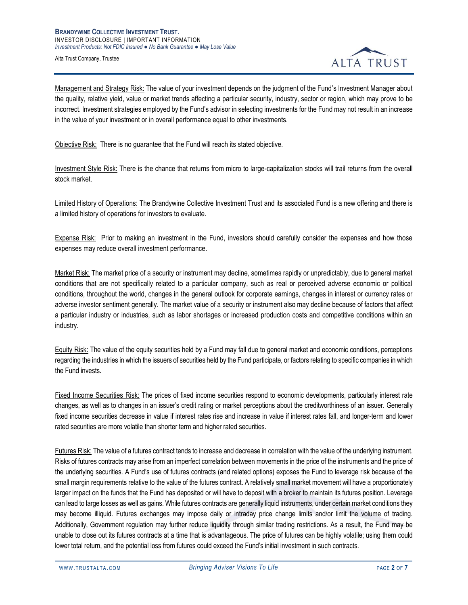

Management and Strategy Risk: The value of your investment depends on the judgment of the Fund's Investment Manager about the quality, relative yield, value or market trends affecting a particular security, industry, sector or region, which may prove to be incorrect. Investment strategies employed by the Fund's advisor in selecting investments for the Fund may not result in an increase in the value of your investment or in overall performance equal to other investments.

Objective Risk: There is no guarantee that the Fund will reach its stated objective.

Investment Style Risk: There is the chance that returns from micro to large-capitalization stocks will trail returns from the overall stock market.

Limited History of Operations: The Brandywine Collective Investment Trust and its associated Fund is a new offering and there is a limited history of operations for investors to evaluate.

Expense Risk: Prior to making an investment in the Fund, investors should carefully consider the expenses and how those expenses may reduce overall investment performance.

Market Risk: The market price of a security or instrument may decline, sometimes rapidly or unpredictably, due to general market conditions that are not specifically related to a particular company, such as real or perceived adverse economic or political conditions, throughout the world, changes in the general outlook for corporate earnings, changes in interest or currency rates or adverse investor sentiment generally. The market value of a security or instrument also may decline because of factors that affect a particular industry or industries, such as labor shortages or increased production costs and competitive conditions within an industry.

Equity Risk: The value of the equity securities held by a Fund may fall due to general market and economic conditions, perceptions regarding the industries in which the issuers of securities held by the Fund participate, or factors relating to specific companies in which the Fund invests.

Fixed Income Securities Risk: The prices of fixed income securities respond to economic developments, particularly interest rate changes, as well as to changes in an issuer's credit rating or market perceptions about the creditworthiness of an issuer. Generally fixed income securities decrease in value if interest rates rise and increase in value if interest rates fall, and longer-term and lower rated securities are more volatile than shorter term and higher rated securities.

Futures Risk: The value of a futures contract tends to increase and decrease in correlation with the value of the underlying instrument. Risks of futures contracts may arise from an imperfect correlation between movements in the price of the instruments and the price of the underlying securities. A Fund's use of futures contracts (and related options) exposes the Fund to leverage risk because of the small margin requirements relative to the value of the futures contract. A relatively small market movement will have a proportionately larger impact on the funds that the Fund has deposited or will have to deposit with a broker to maintain its futures position. Leverage can lead to large losses as well as gains. While futures contracts are generally liquid instruments, under certain market conditions they may become illiquid. Futures exchanges may impose daily or intraday price change limits and/or limit the volume of trading. Additionally, Government regulation may further reduce liquidity through similar trading restrictions. As a result, the Fund may be unable to close out its futures contracts at a time that is advantageous. The price of futures can be highly volatile; using them could lower total return, and the potential loss from futures could exceed the Fund's initial investment in such contracts.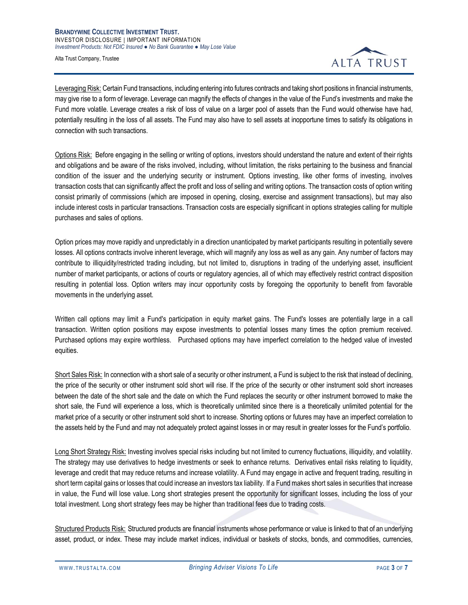

Leveraging Risk: Certain Fund transactions, including entering into futures contracts and taking short positions in financial instruments, may give rise to a form of leverage. Leverage can magnify the effects of changes in the value of the Fund's investments and make the Fund more volatile. Leverage creates a risk of loss of value on a larger pool of assets than the Fund would otherwise have had, potentially resulting in the loss of all assets. The Fund may also have to sell assets at inopportune times to satisfy its obligations in connection with such transactions.

Options Risk: Before engaging in the selling or writing of options, investors should understand the nature and extent of their rights and obligations and be aware of the risks involved, including, without limitation, the risks pertaining to the business and financial condition of the issuer and the underlying security or instrument. Options investing, like other forms of investing, involves transaction costs that can significantly affect the profit and loss of selling and writing options. The transaction costs of option writing consist primarily of commissions (which are imposed in opening, closing, exercise and assignment transactions), but may also include interest costs in particular transactions. Transaction costs are especially significant in options strategies calling for multiple purchases and sales of options.

Option prices may move rapidly and unpredictably in a direction unanticipated by market participants resulting in potentially severe losses. All options contracts involve inherent leverage, which will magnify any loss as well as any gain. Any number of factors may contribute to illiquidity/restricted trading including, but not limited to, disruptions in trading of the underlying asset, insufficient number of market participants, or actions of courts or regulatory agencies, all of which may effectively restrict contract disposition resulting in potential loss. Option writers may incur opportunity costs by foregoing the opportunity to benefit from favorable movements in the underlying asset.

Written call options may limit a Fund's participation in equity market gains. The Fund's losses are potentially large in a call transaction. Written option positions may expose investments to potential losses many times the option premium received. Purchased options may expire worthless. Purchased options may have imperfect correlation to the hedged value of invested equities.

Short Sales Risk: In connection with a short sale of a security or other instrument, a Fund is subject to the risk that instead of declining, the price of the security or other instrument sold short will rise. If the price of the security or other instrument sold short increases between the date of the short sale and the date on which the Fund replaces the security or other instrument borrowed to make the short sale, the Fund will experience a loss, which is theoretically unlimited since there is a theoretically unlimited potential for the market price of a security or other instrument sold short to increase. Shorting options or futures may have an imperfect correlation to the assets held by the Fund and may not adequately protect against losses in or may result in greater losses for the Fund's portfolio.

Long Short Strategy Risk: Investing involves special risks including but not limited to currency fluctuations, illiquidity, and volatility. The strategy may use derivatives to hedge investments or seek to enhance returns. Derivatives entail risks relating to liquidity, leverage and credit that may reduce returns and increase volatility. A Fund may engage in active and frequent trading, resulting in short term capital gains or losses that could increase an investors tax liability. If a Fund makes short sales in securities that increase in value, the Fund will lose value. Long short strategies present the opportunity for significant losses, including the loss of your total investment. Long short strategy fees may be higher than traditional fees due to trading costs.

Structured Products Risk: Structured products are financial instruments whose performance or value is linked to that of an underlying asset, product, or index. These may include market indices, individual or baskets of stocks, bonds, and commodities, currencies,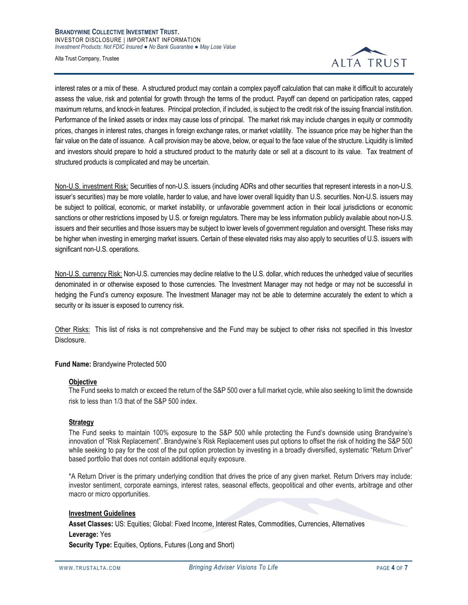

interest rates or a mix of these. A structured product may contain a complex payoff calculation that can make it difficult to accurately assess the value, risk and potential for growth through the terms of the product. Payoff can depend on participation rates, capped maximum returns, and knock-in features. Principal protection, if included, is subject to the credit risk of the issuing financial institution. Performance of the linked assets or index may cause loss of principal. The market risk may include changes in equity or commodity prices, changes in interest rates, changes in foreign exchange rates, or market volatility. The issuance price may be higher than the fair value on the date of issuance. A call provision may be above, below, or equal to the face value of the structure. Liquidity is limited and investors should prepare to hold a structured product to the maturity date or sell at a discount to its value. Tax treatment of structured products is complicated and may be uncertain.

Non-U.S. investment Risk: Securities of non-U.S. issuers (including ADRs and other securities that represent interests in a non-U.S. issuer's securities) may be more volatile, harder to value, and have lower overall liquidity than U.S. securities. Non-U.S. issuers may be subject to political, economic, or market instability, or unfavorable government action in their local jurisdictions or economic sanctions or other restrictions imposed by U.S. or foreign regulators. There may be less information publicly available about non-U.S. issuers and their securities and those issuers may be subject to lower levels of government regulation and oversight. These risks may be higher when investing in emerging market issuers. Certain of these elevated risks may also apply to securities of U.S. issuers with significant non-U.S. operations.

Non-U.S. currency Risk: Non-U.S. currencies may decline relative to the U.S. dollar, which reduces the unhedged value of securities denominated in or otherwise exposed to those currencies. The Investment Manager may not hedge or may not be successful in hedging the Fund's currency exposure. The Investment Manager may not be able to determine accurately the extent to which a security or its issuer is exposed to currency risk.

Other Risks: This list of risks is not comprehensive and the Fund may be subject to other risks not specified in this Investor Disclosure.

## **Fund Name:** Brandywine Protected 500

#### **Objective**

The Fund seeks to match or exceed the return of the S&P 500 over a full market cycle, while also seeking to limit the downside risk to less than 1/3 that of the S&P 500 index.

## **Strategy**

The Fund seeks to maintain 100% exposure to the S&P 500 while protecting the Fund's downside using Brandywine's innovation of "Risk Replacement". Brandywine's Risk Replacement uses put options to offset the risk of holding the S&P 500 while seeking to pay for the cost of the put option protection by investing in a broadly diversified, systematic "Return Driver" based portfolio that does not contain additional equity exposure.

\*A Return Driver is the primary underlying condition that drives the price of any given market. Return Drivers may include: investor sentiment, corporate earnings, interest rates, seasonal effects, geopolitical and other events, arbitrage and other macro or micro opportunities.

#### **Investment Guidelines**

**Asset Classes:** US: Equities; Global: Fixed Income, Interest Rates, Commodities, Currencies, Alternatives **Leverage:** Yes

**Security Type:** Equities, Options, Futures (Long and Short)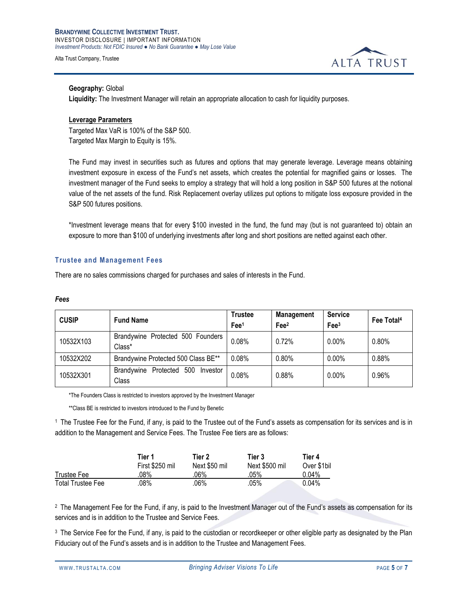

# **Geography:** Global

**Liquidity:** The Investment Manager will retain an appropriate allocation to cash for liquidity purposes.

## **Leverage Parameters**

Targeted Max VaR is 100% of the S&P 500. Targeted Max Margin to Equity is 15%.

The Fund may invest in securities such as futures and options that may generate leverage. Leverage means obtaining investment exposure in excess of the Fund's net assets, which creates the potential for magnified gains or losses. The investment manager of the Fund seeks to employ a strategy that will hold a long position in S&P 500 futures at the notional value of the net assets of the fund. Risk Replacement overlay utilizes put options to mitigate loss exposure provided in the S&P 500 futures positions.

\*Investment leverage means that for every \$100 invested in the fund, the fund may (but is not guaranteed to) obtain an exposure to more than \$100 of underlying investments after long and short positions are netted against each other.

## **Trustee and Management Fees**

There are no sales commissions charged for purchases and sales of interests in the Fund.

#### *Fees*

| <b>CUSIP</b> | <b>Fund Name</b>                        | <b>Trustee</b>  | <b>Management</b> | <b>Service</b>   | Fee Total <sup>4</sup> |
|--------------|-----------------------------------------|-----------------|-------------------|------------------|------------------------|
|              |                                         | Fe <sup>1</sup> | Fee <sup>2</sup>  | Fee <sup>3</sup> |                        |
| 10532X103    | Brandywine Protected 500 Founders       | 0.08%           | 0.72%             | $0.00\%$         | $0.80\%$               |
|              | Class*                                  |                 |                   |                  |                        |
| 10532X202    | Brandywine Protected 500 Class BE**     | 0.08%           | $0.80\%$          | $0.00\%$         | 0.88%                  |
| 10532X301    | 500<br>Brandywine Protected<br>Investor | 0.08%           | 0.88%             | $0.00\%$         | 0.96%                  |
|              | Class                                   |                 |                   |                  |                        |

\*The Founders Class is restricted to investors approved by the Investment Manager

\*\*Class BE is restricted to investors introduced to the Fund by Benetic

<sup>1</sup>The Trustee Fee for the Fund, if any, is paid to the Trustee out of the Fund's assets as compensation for its services and is in addition to the Management and Service Fees. The Trustee Fee tiers are as follows:

|                          | Tier 1          | Tier 2        | Tier 3         | Tier 4      |
|--------------------------|-----------------|---------------|----------------|-------------|
|                          | First \$250 mil | Next \$50 mil | Next \$500 mil | Over \$1bil |
| Trustee Fee              | .08%            | .06%          | .05%           | $0.04\%$    |
| <b>Total Trustee Fee</b> | .08%            | 06%           | .05%           | $0.04\%$    |

<sup>2</sup> The Management Fee for the Fund, if any, is paid to the Investment Manager out of the Fund's assets as compensation for its services and is in addition to the Trustee and Service Fees.

<sup>3</sup> The Service Fee for the Fund, if any, is paid to the custodian or recordkeeper or other eligible party as designated by the Plan Fiduciary out of the Fund's assets and is in addition to the Trustee and Management Fees.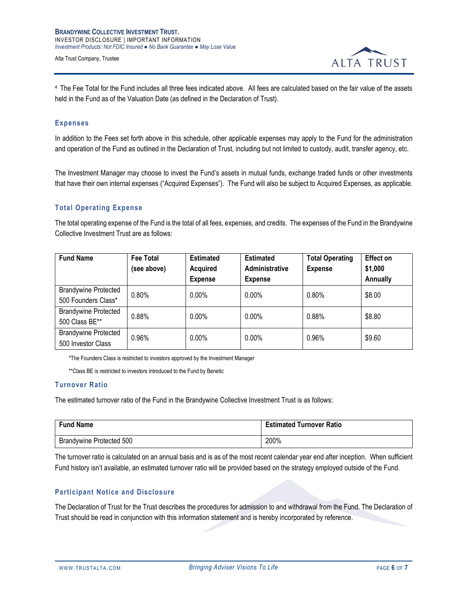

<sup>4</sup>The Fee Total for the Fund includes all three fees indicated above. All fees are calculated based on the fair value of the assets held in the Fund as of the Valuation Date (as defined in the Declaration of Trust).

## **Expenses**

In addition to the Fees set forth above in this schedule, other applicable expenses may apply to the Fund for the administration and operation of the Fund as outlined in the Declaration of Trust, including but not limited to custody, audit, transfer agency, etc.

The Investment Manager may choose to invest the Fund's assets in mutual funds, exchange traded funds or other investments that have their own internal expenses ("Acquired Expenses"). The Fund will also be subject to Acquired Expenses, as applicable.

## **Total Operating Expense**

The total operating expense of the Fund is the total of all fees, expenses, and credits. The expenses of the Fund in the Brandywine Collective Investment Trust are as follows:

| <b>Fund Name</b>            | <b>Fee Total</b> | <b>Estimated</b> | <b>Estimated</b> | <b>Total Operating</b> | <b>Effect on</b> |
|-----------------------------|------------------|------------------|------------------|------------------------|------------------|
|                             | (see above)      | <b>Acquired</b>  | Administrative   | <b>Expense</b>         | \$1,000          |
|                             |                  | <b>Expense</b>   | <b>Expense</b>   |                        | Annually         |
| <b>Brandywine Protected</b> | 0.80%            | $0.00\%$         | $0.00\%$         | 0.80%                  | \$8.00           |
| 500 Founders Class*         |                  |                  |                  |                        |                  |
| <b>Brandywine Protected</b> | 0.88%            | $0.00\%$         | $0.00\%$         | 0.88%                  | \$8.80           |
| 500 Class BE**              |                  |                  |                  |                        |                  |
| <b>Brandywine Protected</b> | 0.96%            | $0.00\%$         | $0.00\%$         | 0.96%                  | \$9.60           |
| 500 Investor Class          |                  |                  |                  |                        |                  |

\*The Founders Class is restricted to investors approved by the Investment Manager

\*\*Class BE is restricted to investors introduced to the Fund by Benetic

## **Turnover Ratio**

The estimated turnover ratio of the Fund in the Brandywine Collective Investment Trust is as follows:

| <b>Fund Name</b>         | <b>Estimated Turnover Ratio</b> |
|--------------------------|---------------------------------|
| Brandywine Protected 500 | 200%                            |

The turnover ratio is calculated on an annual basis and is as of the most recent calendar year end after inception. When sufficient Fund history isn't available, an estimated turnover ratio will be provided based on the strategy employed outside of the Fund.

### **Participant Notice and Disclosure**

The Declaration of Trust for the Trust describes the procedures for admission to and withdrawal from the Fund. The Declaration of Trust should be read in conjunction with this information statement and is hereby incorporated by reference.